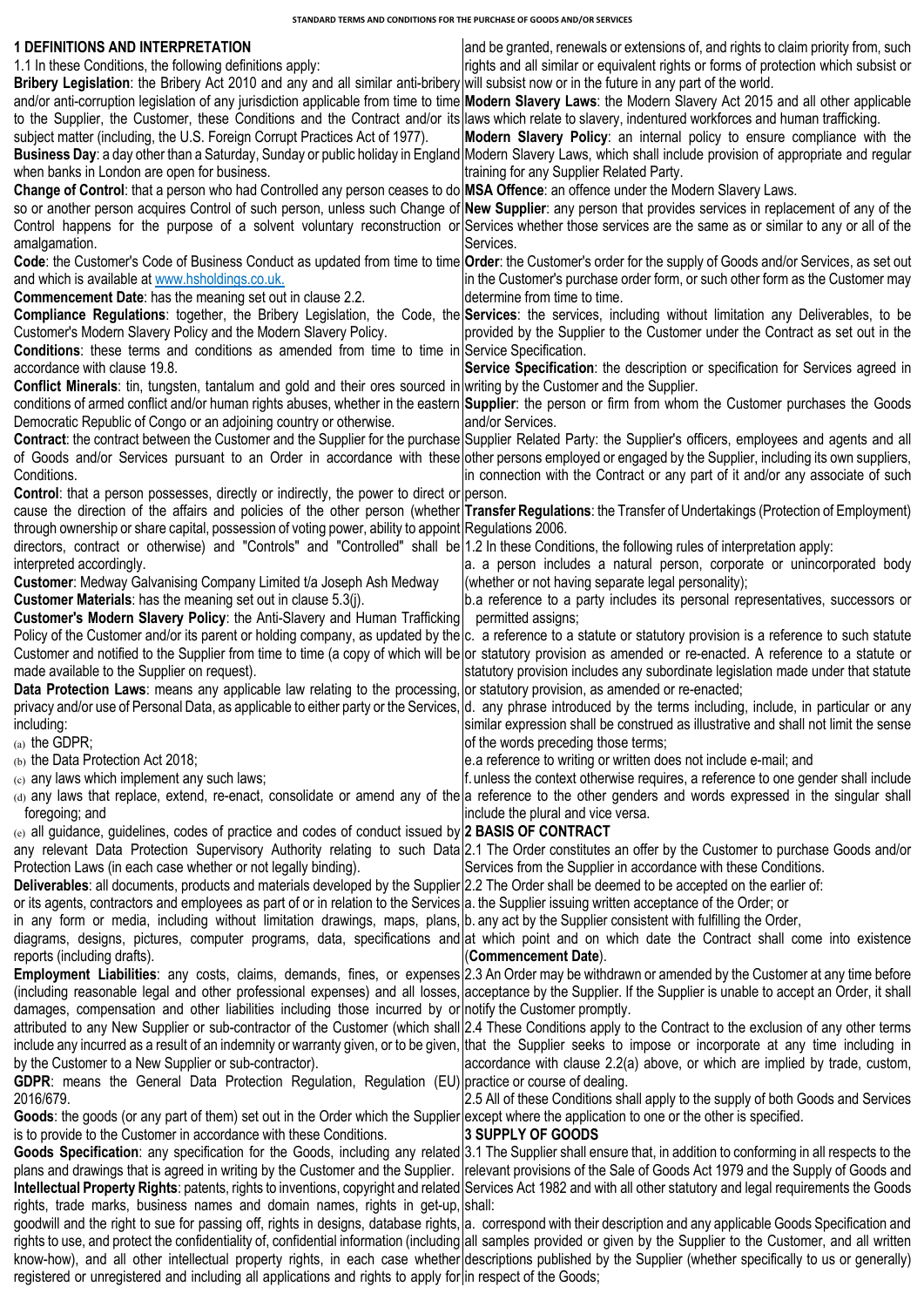**STANDARD TERMS AND CONDITIONS FOR THE PURCHASE OF GOODS AND/OR SERVICES**

| <b>1 DEFINITIONS AND INTERPRETATION</b>                                                                                                                | and be granted, renewals or extensions of, and rights to claim priority from, such                                                                                         |
|--------------------------------------------------------------------------------------------------------------------------------------------------------|----------------------------------------------------------------------------------------------------------------------------------------------------------------------------|
| 1.1 In these Conditions, the following definitions apply:                                                                                              | rights and all similar or equivalent rights or forms of protection which subsist or                                                                                        |
| Bribery Legislation: the Bribery Act 2010 and any and all similar anti-bribery will subsist now or in the future in any part of the world.             |                                                                                                                                                                            |
|                                                                                                                                                        | and/or anti-corruption legislation of any jurisdiction applicable from time to time Modern Slavery Laws: the Modern Slavery Act 2015 and all other applicable              |
| to the Supplier, the Customer, these Conditions and the Contract and/or its laws which relate to slavery, indentured workforces and human trafficking. |                                                                                                                                                                            |
| subject matter (including, the U.S. Foreign Corrupt Practices Act of 1977).                                                                            | Modern Slavery Policy: an internal policy to ensure compliance with the                                                                                                    |
|                                                                                                                                                        | Business Day: a day other than a Saturday, Sunday or public holiday in England Modern Slavery Laws, which shall include provision of appropriate and regular               |
| when banks in London are open for business.                                                                                                            | training for any Supplier Related Party.                                                                                                                                   |
|                                                                                                                                                        |                                                                                                                                                                            |
| Change of Control: that a person who had Controlled any person ceases to do MSA Offence: an offence under the Modern Slavery Laws.                     |                                                                                                                                                                            |
|                                                                                                                                                        | so or another person acquires Control of such person, unless such Change of New Supplier: any person that provides services in replacement of any of the                   |
|                                                                                                                                                        | Control happens for the purpose of a solvent voluntary reconstruction or Services whether those services are the same as or similar to any or all of the                   |
| amalgamation.                                                                                                                                          | Services.                                                                                                                                                                  |
|                                                                                                                                                        | Code: the Customer's Code of Business Conduct as updated from time to time <i>Order: the Customer's order for the supply of Goods and/or Services, as set out</i>          |
| and which is available at www.hsholdings.co.uk.                                                                                                        | in the Customer's purchase order form, or such other form as the Customer may                                                                                              |
| Commencement Date: has the meaning set out in clause 2.2.                                                                                              | determine from time to time.                                                                                                                                               |
|                                                                                                                                                        | Compliance Regulations: together, the Bribery Legislation, the Code, the Services: the services, including without limitation any Deliverables, to be                      |
| Customer's Modern Slavery Policy and the Modern Slavery Policy.                                                                                        | provided by the Supplier to the Customer under the Contract as set out in the                                                                                              |
| <b>Conditions:</b> these terms and conditions as amended from time to time in Service Specification.                                                   |                                                                                                                                                                            |
| accordance with clause 19.8.                                                                                                                           | Service Specification: the description or specification for Services agreed in                                                                                             |
| Conflict Minerals: tin, tungsten, tantalum and gold and their ores sourced in writing by the Customer and the Supplier.                                |                                                                                                                                                                            |
|                                                                                                                                                        | conditions of armed conflict and/or human rights abuses, whether in the eastern Supplier: the person or firm from whom the Customer purchases the Goods                    |
| Democratic Republic of Congo or an adjoining country or otherwise.                                                                                     | and/or Services.                                                                                                                                                           |
|                                                                                                                                                        | Contract: the contract between the Customer and the Supplier for the purchase Supplier Related Party: the Supplier's officers, employees and agents and all                |
|                                                                                                                                                        | of Goods and/or Services pursuant to an Order in accordance with these other persons employed or engaged by the Supplier, including its own suppliers,                     |
| Conditions.                                                                                                                                            | in connection with the Contract or any part of it and/or any associate of such                                                                                             |
| <b>Control:</b> that a person possesses, directly or indirectly, the power to direct or person.                                                        |                                                                                                                                                                            |
|                                                                                                                                                        | cause the direction of the affairs and policies of the other person (whether Transfer Regulations: the Transfer of Undertakings (Protection of Employment)                 |
| through ownership or share capital, possession of voting power, ability to appoint Regulations 2006.                                                   |                                                                                                                                                                            |
| directors, contract or otherwise) and "Controls" and "Controlled" shall be 1.2 In these Conditions, the following rules of interpretation apply:       |                                                                                                                                                                            |
|                                                                                                                                                        |                                                                                                                                                                            |
| interpreted accordingly.                                                                                                                               | a. a person includes a natural person, corporate or unincorporated body                                                                                                    |
| Customer: Medway Galvanising Company Limited t/a Joseph Ash Medway                                                                                     | (whether or not having separate legal personality);                                                                                                                        |
| Customer Materials: has the meaning set out in clause 5.3(j).                                                                                          | b.a reference to a party includes its personal representatives, successors or                                                                                              |
| Customer's Modern Slavery Policy: the Anti-Slavery and Human Trafficking                                                                               | permitted assigns;                                                                                                                                                         |
|                                                                                                                                                        | Policy of the Customer and/or its parent or holding company, as updated by the c. a reference to a statute or statutory provision is a reference to such statute           |
|                                                                                                                                                        | Customer and notified to the Supplier from time to time (a copy of which will be or statutory provision as amended or re-enacted. A reference to a statute or              |
| made available to the Supplier on request).                                                                                                            | statutory provision includes any subordinate legislation made under that statute                                                                                           |
| Data Protection Laws: means any applicable law relating to the processing, or statutory provision, as amended or re-enacted;                           |                                                                                                                                                                            |
|                                                                                                                                                        | privacy and/or use of Personal Data, as applicable to either party or the Services, d. any phrase introduced by the terms including, include, in particular or any         |
| including:                                                                                                                                             | similar expression shall be construed as illustrative and shall not limit the sense                                                                                        |
| $(a)$ the GDPR;                                                                                                                                        | of the words preceding those terms;                                                                                                                                        |
| (b) the Data Protection Act 2018;                                                                                                                      | e.a reference to writing or written does not include e-mail; and                                                                                                           |
| (c) any laws which implement any such laws;                                                                                                            | f. unless the context otherwise requires, a reference to one gender shall include                                                                                          |
|                                                                                                                                                        | (d) any laws that replace, extend, re-enact, consolidate or amend any of the a reference to the other genders and words expressed in the singular shall                    |
| foregoing; and                                                                                                                                         | include the plural and vice versa.                                                                                                                                         |
| (e) all guidance, guidelines, codes of practice and codes of conduct issued by 2 BASIS OF CONTRACT                                                     |                                                                                                                                                                            |
|                                                                                                                                                        | any relevant Data Protection Supervisory Authority relating to such Data 2.1 The Order constitutes an offer by the Customer to purchase Goods and/or                       |
| Protection Laws (in each case whether or not legally binding).                                                                                         | Services from the Supplier in accordance with these Conditions.                                                                                                            |
| Deliverables: all documents, products and materials developed by the Supplier 2.2 The Order shall be deemed to be accepted on the earlier of:          |                                                                                                                                                                            |
| or its agents, contractors and employees as part of or in relation to the Services a the Supplier issuing written acceptance of the Order; or          |                                                                                                                                                                            |
| in any form or media, including without limitation drawings, maps, plans, b any act by the Supplier consistent with fulfilling the Order,              |                                                                                                                                                                            |
|                                                                                                                                                        | diagrams, designs, pictures, computer programs, data, specifications and at which point and on which date the Contract shall come into existence                           |
|                                                                                                                                                        |                                                                                                                                                                            |
| reports (including drafts).                                                                                                                            | (Commencement Date).<br>Employment Liabilities: any costs, claims, demands, fines, or expenses 2.3 An Order may be withdrawn or amended by the Customer at any time before |
|                                                                                                                                                        |                                                                                                                                                                            |
|                                                                                                                                                        | (including reasonable legal and other professional expenses) and all losses, acceptance by the Supplier. If the Supplier is unable to accept an Order, it shall            |
| damages, compensation and other liabilities including those incurred by or notify the Customer promptly.                                               |                                                                                                                                                                            |
|                                                                                                                                                        | attributed to any New Supplier or sub-contractor of the Customer (which shall 2.4 These Conditions apply to the Contract to the exclusion of any other terms               |
|                                                                                                                                                        | include any incurred as a result of an indemnity or warranty given, or to be given, that the Supplier seeks to impose or incorporate at any time including in              |
| by the Customer to a New Supplier or sub-contractor).                                                                                                  | accordance with clause 2.2(a) above, or which are implied by trade, custom,                                                                                                |
| GDPR: means the General Data Protection Regulation, Regulation (EU) practice or course of dealing.                                                     |                                                                                                                                                                            |
| 2016/679.                                                                                                                                              | 2.5 All of these Conditions shall apply to the supply of both Goods and Services                                                                                           |
| Goods: the goods (or any part of them) set out in the Order which the Supplier except where the application to one or the other is specified.          |                                                                                                                                                                            |
| is to provide to the Customer in accordance with these Conditions.                                                                                     | 3 SUPPLY OF GOODS                                                                                                                                                          |
|                                                                                                                                                        | Goods Specification: any specification for the Goods, including any related 3.1 The Supplier shall ensure that, in addition to conforming in all respects to the           |
|                                                                                                                                                        | plans and drawings that is agreed in writing by the Customer and the Supplier.  relevant provisions of the Sale of Goods Act 1979 and the Supply of Goods and              |
|                                                                                                                                                        | Intellectual Property Rights: patents, rights to inventions, copyright and related Services Act 1982 and with all other statutory and legal requirements the Goods         |
| rights, trade marks, business names and domain names, rights in get-up, shall:                                                                         |                                                                                                                                                                            |
|                                                                                                                                                        | goodwill and the right to sue for passing off, rights in designs, database rights, a. correspond with their description and any applicable Goods Specification and         |
|                                                                                                                                                        | rights to use, and protect the confidentiality of, confidential information (including all samples provided or given by the Supplier to the Customer, and all written      |
|                                                                                                                                                        | know-how), and all other intellectual property rights, in each case whether descriptions published by the Supplier (whether specifically to us or generally)               |
| registered or unregistered and including all applications and rights to apply for in respect of the Goods;                                             |                                                                                                                                                                            |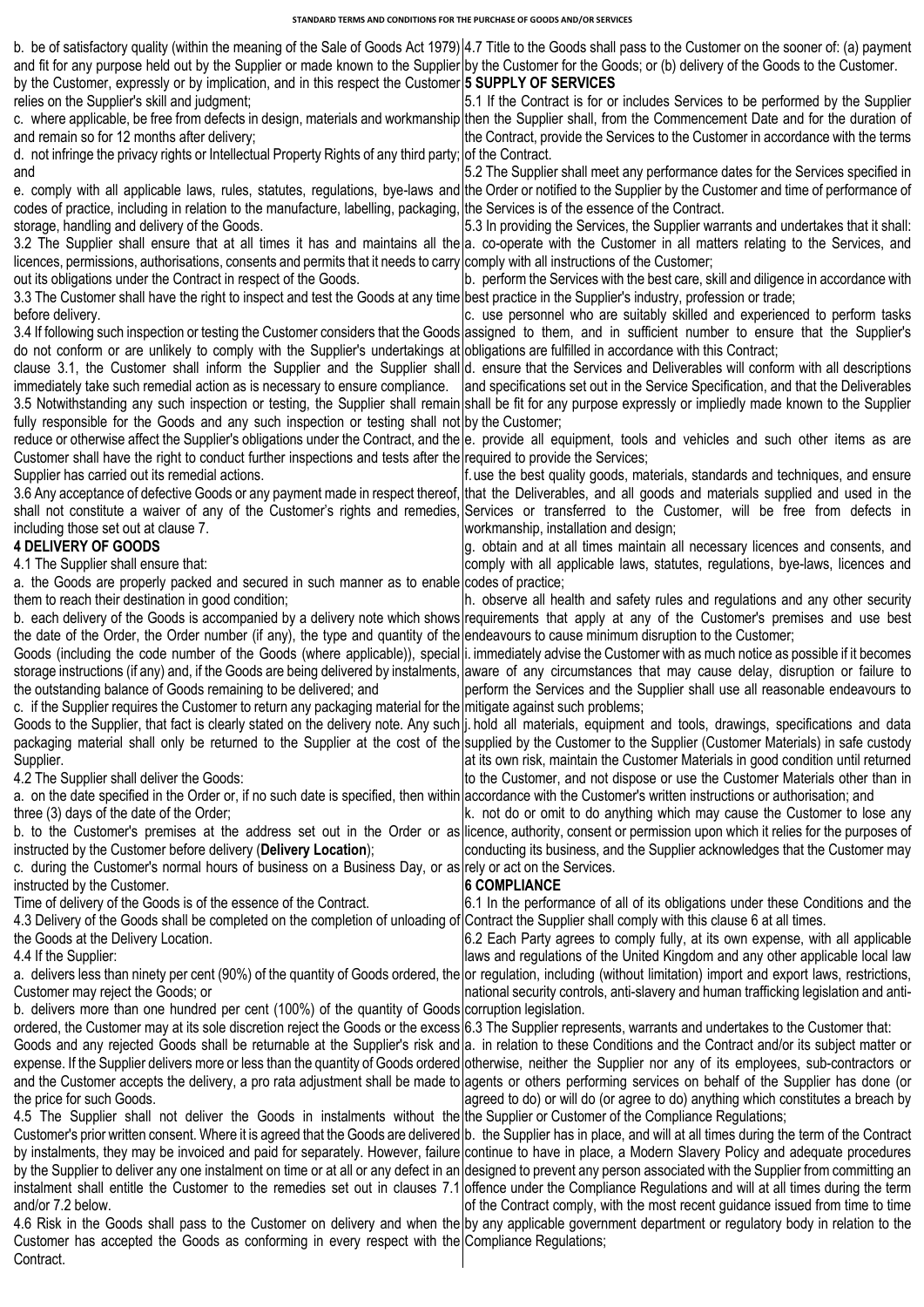| and fit for any purpose held out by the Supplier or made known to the Supplier by the Customer for the Goods; or (b) delivery of the Goods to the Customer.                                                                                                                                                                                           | b. be of satisfactory quality (within the meaning of the Sale of Goods Act 1979) 4.7 Title to the Goods shall pass to the Customer on the sooner of: (a) payment                                                                                                                                                                                                                                                    |
|-------------------------------------------------------------------------------------------------------------------------------------------------------------------------------------------------------------------------------------------------------------------------------------------------------------------------------------------------------|---------------------------------------------------------------------------------------------------------------------------------------------------------------------------------------------------------------------------------------------------------------------------------------------------------------------------------------------------------------------------------------------------------------------|
| by the Customer, expressly or by implication, and in this respect the Customer 5 SUPPLY OF SERVICES<br>relies on the Supplier's skill and judgment;<br>and remain so for 12 months after delivery;<br>d. not infringe the privacy rights or Intellectual Property Rights of any third party; of the Contract.                                         | 5.1 If the Contract is for or includes Services to be performed by the Supplier<br>c. where applicable, be free from defects in design, materials and workmanship then the Supplier shall, from the Commencement Date and for the duration of<br>the Contract, provide the Services to the Customer in accordance with the terms                                                                                    |
| and                                                                                                                                                                                                                                                                                                                                                   | 5.2 The Supplier shall meet any performance dates for the Services specified in<br>e. comply with all applicable laws, rules, statutes, regulations, bye-laws and the Order or notified to the Supplier by the Customer and time of performance of                                                                                                                                                                  |
| codes of practice, including in relation to the manufacture, labelling, packaging, the Services is of the essence of the Contract.<br>storage, handling and delivery of the Goods.                                                                                                                                                                    | 5.3 In providing the Services, the Supplier warrants and undertakes that it shall:<br>3.2 The Supplier shall ensure that at all times it has and maintains all the a. co-operate with the Customer in all matters relating to the Services, and                                                                                                                                                                     |
| licences, permissions, authorisations, consents and permits that it needs to carry comply with all instructions of the Customer;<br>out its obligations under the Contract in respect of the Goods.<br>3.3 The Customer shall have the right to inspect and test the Goods at any time best practice in the Supplier's industry, profession or trade; | b. perform the Services with the best care, skill and diligence in accordance with                                                                                                                                                                                                                                                                                                                                  |
| before delivery.                                                                                                                                                                                                                                                                                                                                      | c. use personnel who are suitably skilled and experienced to perform tasks<br>3.4 If following such inspection or testing the Customer considers that the Goods assigned to them, and in sufficient number to ensure that the Supplier's                                                                                                                                                                            |
| do not conform or are unlikely to comply with the Supplier's undertakings at obligations are fulfilled in accordance with this Contract;                                                                                                                                                                                                              | clause 3.1, the Customer shall inform the Supplier and the Supplier shall d. ensure that the Services and Deliverables will conform with all descriptions<br>immediately take such remedial action as is necessary to ensure compliance.  and specifications set out in the Service Specification, and that the Deliverables                                                                                        |
| fully responsible for the Goods and any such inspection or testing shall not by the Customer;                                                                                                                                                                                                                                                         | 3.5 Notwithstanding any such inspection or testing, the Supplier shall remain shall be fit for any purpose expressly or impliedly made known to the Supplier                                                                                                                                                                                                                                                        |
| Customer shall have the right to conduct further inspections and tests after the required to provide the Services;<br>Supplier has carried out its remedial actions.                                                                                                                                                                                  | reduce or otherwise affect the Supplier's obligations under the Contract, and the e. provide all equipment, tools and vehicles and such other items as are<br>f. use the best quality goods, materials, standards and techniques, and ensure                                                                                                                                                                        |
| including those set out at clause 7.                                                                                                                                                                                                                                                                                                                  | 3.6 Any acceptance of defective Goods or any payment made in respect thereof, that the Deliverables, and all goods and materials supplied and used in the<br>shall not constitute a waiver of any of the Customer's rights and remedies, Services or transferred to the Customer, will be free from defects in<br>workmanship, installation and design;                                                             |
| <b>4 DELIVERY OF GOODS</b><br>4.1 The Supplier shall ensure that:                                                                                                                                                                                                                                                                                     | g. obtain and at all times maintain all necessary licences and consents, and<br>comply with all applicable laws, statutes, regulations, bye-laws, licences and                                                                                                                                                                                                                                                      |
| a. the Goods are properly packed and secured in such manner as to enable codes of practice;<br>them to reach their destination in good condition;                                                                                                                                                                                                     | h. observe all health and safety rules and regulations and any other security<br>b. each delivery of the Goods is accompanied by a delivery note which shows requirements that apply at any of the Customer's premises and use best                                                                                                                                                                                 |
| the date of the Order, the Order number (if any), the type and quantity of the endeavours to cause minimum disruption to the Customer;                                                                                                                                                                                                                | Goods (including the code number of the Goods (where applicable)), special i. immediately advise the Customer with as much notice as possible if it becomes<br>storage instructions (if any) and, if the Goods are being delivered by instalments, aware of any circumstances that may cause delay, disruption or failure to                                                                                        |
| the outstanding balance of Goods remaining to be delivered; and<br>c. if the Supplier requires the Customer to return any packaging material for the mitigate against such problems;                                                                                                                                                                  | perform the Services and the Supplier shall use all reasonable endeavours to                                                                                                                                                                                                                                                                                                                                        |
| Supplier.                                                                                                                                                                                                                                                                                                                                             | Goods to the Supplier, that fact is clearly stated on the delivery note. Any such  j. hold all materials, equipment and tools, drawings, specifications and data<br>packaging material shall only be returned to the Supplier at the cost of the supplied by the Customer to the Supplier (Customer Materials) in safe custody<br>at its own risk, maintain the Customer Materials in good condition until returned |
| 4.2 The Supplier shall deliver the Goods:<br>a. on the date specified in the Order or, if no such date is specified, then within accordance with the Customer's written instructions or authorisation; and<br>three (3) days of the date of the Order;                                                                                                | to the Customer, and not dispose or use the Customer Materials other than in<br>k. not do or omit to do anything which may cause the Customer to lose any                                                                                                                                                                                                                                                           |
| instructed by the Customer before delivery (Delivery Location);                                                                                                                                                                                                                                                                                       | b. to the Customer's premises at the address set out in the Order or as licence, authority, consent or permission upon which it relies for the purposes of<br>conducting its business, and the Supplier acknowledges that the Customer may                                                                                                                                                                          |
| c. during the Customer's normal hours of business on a Business Day, or as rely or act on the Services.<br>instructed by the Customer.<br>Time of delivery of the Goods is of the essence of the Contract.                                                                                                                                            | <b>6 COMPLIANCE</b><br>6.1 In the performance of all of its obligations under these Conditions and the                                                                                                                                                                                                                                                                                                              |
| 4.3 Delivery of the Goods shall be completed on the completion of unloading of Contract the Supplier shall comply with this clause 6 at all times.<br>the Goods at the Delivery Location.<br>4.4 If the Supplier:                                                                                                                                     | 6.2 Each Party agrees to comply fully, at its own expense, with all applicable<br>laws and regulations of the United Kingdom and any other applicable local law                                                                                                                                                                                                                                                     |
| Customer may reject the Goods; or                                                                                                                                                                                                                                                                                                                     | a. delivers less than ninety per cent (90%) of the quantity of Goods ordered, the or regulation, including (without limitation) import and export laws, restrictions,<br>national security controls, anti-slavery and human trafficking legislation and anti-                                                                                                                                                       |
| b. delivers more than one hundred per cent (100%) of the quantity of Goods corruption legislation.<br>ordered, the Customer may at its sole discretion reject the Goods or the excess 6.3 The Supplier represents, warrants and undertakes to the Customer that:                                                                                      | Goods and any rejected Goods shall be returnable at the Supplier's risk and a. in relation to these Conditions and the Contract and/or its subject matter or                                                                                                                                                                                                                                                        |
| the price for such Goods.                                                                                                                                                                                                                                                                                                                             | expense. If the Supplier delivers more or less than the quantity of Goods ordered otherwise, neither the Supplier nor any of its employees, sub-contractors or<br>and the Customer accepts the delivery, a pro rata adjustment shall be made to agents or others performing services on behalf of the Supplier has done (or<br>agreed to do) or will do (or agree to do) anything which constitutes a breach by     |
| 4.5 The Supplier shall not deliver the Goods in instalments without the the Supplier or Customer of the Compliance Regulations;                                                                                                                                                                                                                       | Customer's prior written consent. Where it is agreed that the Goods are delivered b. the Supplier has in place, and will at all times during the term of the Contract<br>by instalments, they may be invoiced and paid for separately. However, failure continue to have in place, a Modern Slavery Policy and adequate procedures                                                                                  |
|                                                                                                                                                                                                                                                                                                                                                       | by the Supplier to deliver any one instalment on time or at all or any defect in an designed to prevent any person associated with the Supplier from committing an<br>instalment shall entitle the Customer to the remedies set out in clauses 7.1 offence under the Compliance Regulations and will at all times during the term                                                                                   |
| and/or 7.2 below.<br>Customer has accepted the Goods as conforming in every respect with the Compliance Regulations;<br>Contract.                                                                                                                                                                                                                     | of the Contract comply, with the most recent guidance issued from time to time<br>4.6 Risk in the Goods shall pass to the Customer on delivery and when the by any applicable government department or regulatory body in relation to the                                                                                                                                                                           |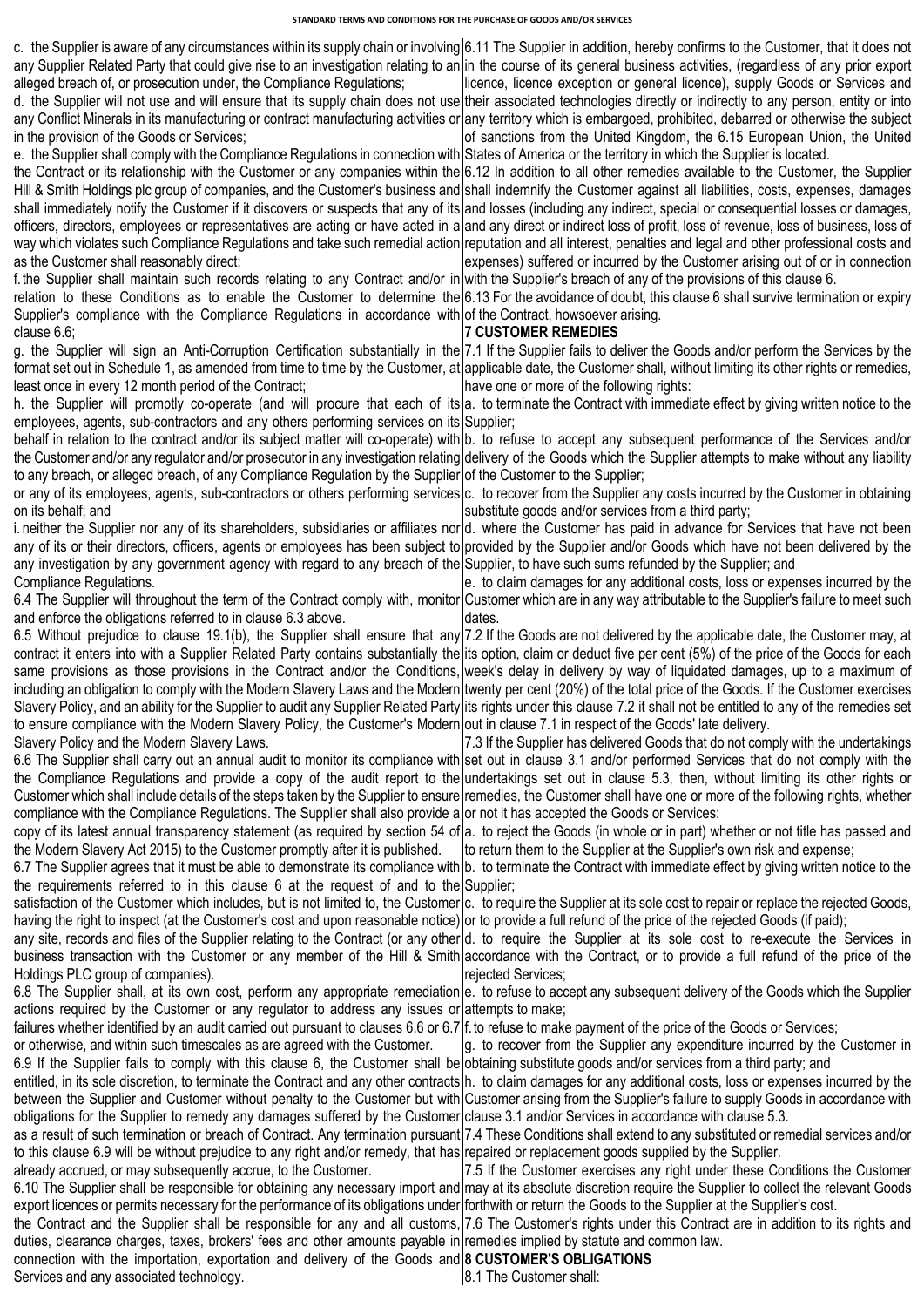c. the Supplier is aware of any circumstances within its supply chain or involving 6.11 The Supplier in addition, hereby confirms to the Customer, that it does not any Supplier Related Party that could give rise to an investigation relating to an in the course of its general business activities, (regardless of any prior export alleged breach of, or prosecution under, the Compliance Regulations; d. the Supplier will not use and will ensure that its supply chain does not use their associated technologies directly or indirectly to any person, entity or into any Conflict Minerals in its manufacturing or contract manufacturing activities or in the provision of the Goods or Services; e. the Supplier shall comply with the Compliance Regulations in connection with the Contract or its relationship with the Customer or any companies within the Hill & Smith Holdings plc group of companies, and the Customer's business and shall immediately notify the Customer if it discovers or suspects that any of its officers, directors, employees or representatives are acting or have acted in a way which violates such Compliance Regulations and take such remedial action as the Customer shall reasonably direct; f.the Supplier shall maintain such records relating to any Contract and/or in relation to these Conditions as to enable the Customer to determine the Supplier's compliance with the Compliance Regulations in accordance with of the Contract, howsoever arising. clause 6.6; g. the Supplier will sign an Anti-Corruption Certification substantially in the 7.1 If the Supplier fails to deliver the Goods and/or perform the Services by the format set out in Schedule 1, as amended from time to time by the Customer, at applicable date, the Customer shall, without limiting its other rights or remedies, least once in every 12 month period of the Contract; h. the Supplier will promptly co-operate (and will procure that each of its|a. to terminate the Contract with immediate effect by giving written notice to the employees, agents, sub-contractors and any others performing services on its Supplier; behalf in relation to the contract and/or its subject matter will co-operate) with b. to refuse to accept any subsequent performance of the Services and/or the Customer and/or any regulator and/or prosecutor in any investigation relating delivery of the Goods which the Supplier attempts to make without any liability to any breach, or alleged breach, of any Compliance Regulation by the Supplier|of the Customer to the Supplier; or any of its employees, agents, sub-contractors or others performing services c. to recover from the Supplier any costs incurred by the Customer in obtaining on its behalf; and i. neither the Supplier nor any of its shareholders, subsidiaries or affiliates nor d. where the Customer has paid in advance for Services that have not been any of its or their directors, officers, agents or employees has been subject to any investigation by any government agency with regard to any breach of the Compliance Regulations. 6.4 The Supplier will throughout the term of the Contract comply with, monitor and enforce the obligations referred to in clause 6.3 above. 6.5 Without prejudice to clause 19.1(b), the Supplier shall ensure that any contract it enters into with a Supplier Related Party contains substantially the same provisions as those provisions in the Contract and/or the Conditions, including an obligation to comply with the Modern Slavery Laws and the Modern twenty per cent (20%) of the total price of the Goods. If the Customer exercises Slavery Policy, and an ability for the Supplier to audit any Supplier Related Party lits rights under this clause 7.2 it shall not be entitled to any of the remedies set to ensure compliance with the Modern Slavery Policy, the Customer's Modern|out in clause 7.1 in respect of the Goods' late delivery. Slavery Policy and the Modern Slavery Laws. 6.6 The Supplier shall carry out an annual audit to monitor its compliance with the Compliance Regulations and provide a copy of the audit report to the Customer which shall include details of the steps taken by the Supplier to ensure remedies, the Customer shall have one or more of the following rights, whether compliance with the Compliance Regulations. The Supplier shall also provide a copy of its latest annual transparency statement (as required by section 54 of the Modern Slavery Act 2015) to the Customer promptly after it is published. 6.7 The Supplier agrees that it must be able to demonstrate its compliance with b. to terminate the Contract with immediate effect by giving written notice to the the requirements referred to in this clause 6 at the request of and to the satisfaction of the Customer which includes, but is not limited to, the Customer having the right to inspect (at the Customer's cost and upon reasonable notice) or to provide a full refund of the price of the rejected Goods (if paid); any site, records and files of the Supplier relating to the Contract (or any other business transaction with the Customer or any member of the Hill & Smith Holdings PLC group of companies). 6.8 The Supplier shall, at its own cost, perform any appropriate remediation actions required by the Customer or any regulator to address any issues or failures whether identified by an audit carried out pursuant to clauses 6.6 or 6.7 or otherwise, and within such timescales as are agreed with the Customer. 6.9 If the Supplier fails to comply with this clause 6, the Customer shall be entitled, in its sole discretion, to terminate the Contract and any other contracts between the Supplier and Customer without penalty to the Customer but with obligations for the Supplier to remedy any damages suffered by the Customer as a result of such termination or breach of Contract. Any termination pursuant 7.4 These Conditions shall extend to any substituted or remedial services and/or to this clause 6.9 will be without prejudice to any right and/or remedy, that has already accrued, or may subsequently accrue, to the Customer. 6.10 The Supplier shall be responsible for obtaining any necessary import and export licences or permits necessary for the performance of its obligations under the Contract and the Supplier shall be responsible for any and all customs, 7.6 The Customer's rights under this Contract are in addition to its rights and duties, clearance charges, taxes, brokers' fees and other amounts payable in remedies implied by statute and common law. connection with the importation, exportation and delivery of the Goods and **8 CUSTOMER'S OBLIGATIONS** Services and any associated technology. licence, licence exception or general licence), supply Goods or Services and any territory which is embargoed, prohibited, debarred or otherwise the subject of sanctions from the United Kingdom, the 6.15 European Union, the United States of America or the territory in which the Supplier is located. 6.12 In addition to all other remedies available to the Customer, the Supplier shall indemnify the Customer against all liabilities, costs, expenses, damages and losses (including any indirect, special or consequential losses or damages, and any direct or indirect loss of profit, loss of revenue, loss of business, loss of reputation and all interest, penalties and legal and other professional costs and expenses) suffered or incurred by the Customer arising out of or in connection with the Supplier's breach of any of the provisions of this clause 6. 6.13 For the avoidance of doubt, this clause 6 shall survive termination or expiry **7 CUSTOMER REMEDIES**  have one or more of the following rights: substitute goods and/or services from a third party; provided by the Supplier and/or Goods which have not been delivered by the Supplier, to have such sums refunded by the Supplier; and e. to claim damages for any additional costs, loss or expenses incurred by the Customer which are in any way attributable to the Supplier's failure to meet such dates. 7.2 If the Goods are not delivered by the applicable date, the Customer may, at its option, claim or deduct five per cent (5%) of the price of the Goods for each week's delay in delivery by way of liquidated damages, up to a maximum of 7.3 If the Supplier has delivered Goods that do not comply with the undertakings set out in clause 3.1 and/or performed Services that do not comply with the undertakings set out in clause 5.3, then, without limiting its other rights or or not it has accepted the Goods or Services: a. to reject the Goods (in whole or in part) whether or not title has passed and to return them to the Supplier at the Supplier's own risk and expense; Supplier; c. to require the Supplier at its sole cost to repair or replace the rejected Goods, d. to require the Supplier at its sole cost to re-execute the Services in accordance with the Contract, or to provide a full refund of the price of the rejected Services; e. to refuse to accept any subsequent delivery of the Goods which the Supplier attempts to make; f.to refuse to make payment of the price of the Goods or Services; g. to recover from the Supplier any expenditure incurred by the Customer in obtaining substitute goods and/or services from a third party; and h. to claim damages for any additional costs, loss or expenses incurred by the Customer arising from the Supplier's failure to supply Goods in accordance with clause 3.1 and/or Services in accordance with clause 5.3. repaired or replacement goods supplied by the Supplier. 7.5 If the Customer exercises any right under these Conditions the Customer may at its absolute discretion require the Supplier to collect the relevant Goods forthwith or return the Goods to the Supplier at the Supplier's cost. 8.1 The Customer shall: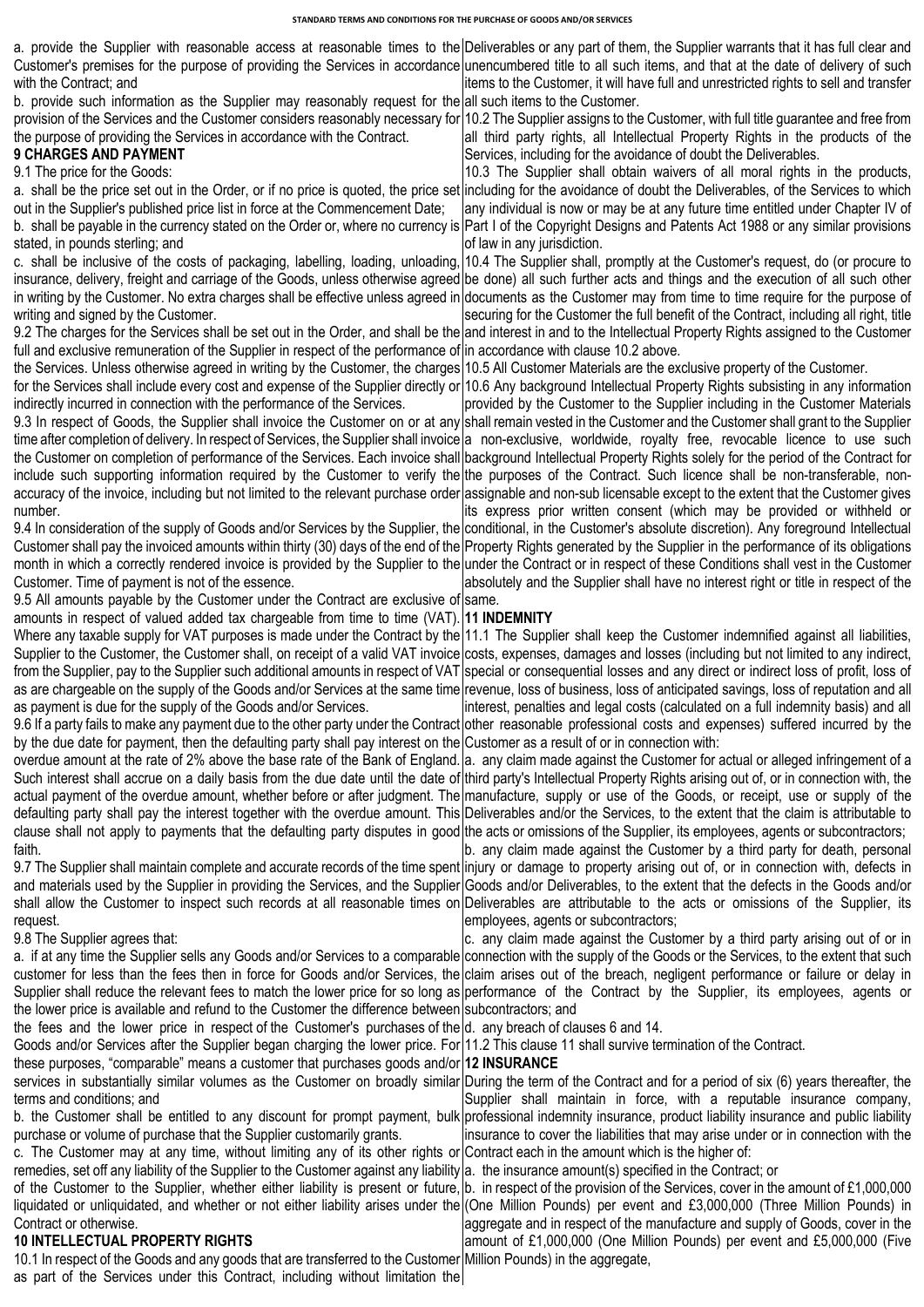|                                                                                                                                                                                                                                              | a. provide the Supplier with reasonable access at reasonable times to the Deliverables or any part of them, the Supplier warrants that it has full clear and                                                                                                                                                                            |
|----------------------------------------------------------------------------------------------------------------------------------------------------------------------------------------------------------------------------------------------|-----------------------------------------------------------------------------------------------------------------------------------------------------------------------------------------------------------------------------------------------------------------------------------------------------------------------------------------|
|                                                                                                                                                                                                                                              | Customer's premises for the purpose of providing the Services in accordance unencumbered title to all such items, and that at the date of delivery of such                                                                                                                                                                              |
| with the Contract; and                                                                                                                                                                                                                       | items to the Customer, it will have full and unrestricted rights to sell and transfer                                                                                                                                                                                                                                                   |
| b. provide such information as the Supplier may reasonably request for the all such items to the Customer.                                                                                                                                   |                                                                                                                                                                                                                                                                                                                                         |
|                                                                                                                                                                                                                                              | provision of the Services and the Customer considers reasonably necessary for 10.2 The Supplier assigns to the Customer, with full title guarantee and free from                                                                                                                                                                        |
| the purpose of providing the Services in accordance with the Contract.<br><b>9 CHARGES AND PAYMENT</b>                                                                                                                                       | all third party rights, all Intellectual Property Rights in the products of the<br>Services, including for the avoidance of doubt the Deliverables.                                                                                                                                                                                     |
| 9.1 The price for the Goods:                                                                                                                                                                                                                 | 10.3 The Supplier shall obtain waivers of all moral rights in the products,                                                                                                                                                                                                                                                             |
|                                                                                                                                                                                                                                              | a. shall be the price set out in the Order, or if no price is quoted, the price set including for the avoidance of doubt the Deliverables, of the Services to which                                                                                                                                                                     |
| out in the Supplier's published price list in force at the Commencement Date;                                                                                                                                                                | any individual is now or may be at any future time entitled under Chapter IV of                                                                                                                                                                                                                                                         |
|                                                                                                                                                                                                                                              | b. shall be payable in the currency stated on the Order or, where no currency is Part I of the Copyright Designs and Patents Act 1988 or any similar provisions                                                                                                                                                                         |
| stated, in pounds sterling; and                                                                                                                                                                                                              | of law in any jurisdiction.                                                                                                                                                                                                                                                                                                             |
|                                                                                                                                                                                                                                              | c. shall be inclusive of the costs of packaging, labelling, loading, unloading, 10.4 The Supplier shall, promptly at the Customer's request, do (or procure to<br>insurance, delivery, freight and carriage of the Goods, unless otherwise agreed be done) all such further acts and things and the execution of all such other         |
|                                                                                                                                                                                                                                              | in writing by the Customer. No extra charges shall be effective unless agreed in documents as the Customer may from time to time require for the purpose of                                                                                                                                                                             |
| writing and signed by the Customer.                                                                                                                                                                                                          | securing for the Customer the full benefit of the Contract, including all right, title                                                                                                                                                                                                                                                  |
|                                                                                                                                                                                                                                              | 9.2 The charges for the Services shall be set out in the Order, and shall be the and interest in and to the Intellectual Property Rights assigned to the Customer                                                                                                                                                                       |
| full and exclusive remuneration of the Supplier in respect of the performance of in accordance with clause 10.2 above.                                                                                                                       |                                                                                                                                                                                                                                                                                                                                         |
| the Services. Unless otherwise agreed in writing by the Customer, the charges 10.5 All Customer Materials are the exclusive property of the Customer.                                                                                        |                                                                                                                                                                                                                                                                                                                                         |
|                                                                                                                                                                                                                                              | for the Services shall include every cost and expense of the Supplier directly or 10.6 Any background Intellectual Property Rights subsisting in any information                                                                                                                                                                        |
| indirectly incurred in connection with the performance of the Services.                                                                                                                                                                      | provided by the Customer to the Supplier including in the Customer Materials<br>9.3 In respect of Goods, the Supplier shall invoice the Customer on or at any shall remain vested in the Customer and the Customer shall grant to the Supplier                                                                                          |
|                                                                                                                                                                                                                                              | time after completion of delivery. In respect of Services, the Supplier shall invoice a non-exclusive, worldwide, royalty free, revocable licence to use such                                                                                                                                                                           |
|                                                                                                                                                                                                                                              | the Customer on completion of performance of the Services. Each invoice shall background Intellectual Property Rights solely for the period of the Contract for                                                                                                                                                                         |
|                                                                                                                                                                                                                                              | include such supporting information required by the Customer to verify the the purposes of the Contract. Such licence shall be non-transferable, non-                                                                                                                                                                                   |
|                                                                                                                                                                                                                                              | accuracy of the invoice, including but not limited to the relevant purchase order assignable and non-sub licensable except to the extent that the Customer gives                                                                                                                                                                        |
| number.                                                                                                                                                                                                                                      | its express prior written consent (which may be provided or withheld or                                                                                                                                                                                                                                                                 |
|                                                                                                                                                                                                                                              | 9.4 In consideration of the supply of Goods and/or Services by the Supplier, the conditional, in the Customer's absolute discretion). Any foreground Intellectual<br>Customer shall pay the invoiced amounts within thirty (30) days of the end of the Property Rights generated by the Supplier in the performance of its obligations  |
|                                                                                                                                                                                                                                              | month in which a correctly rendered invoice is provided by the Supplier to the under the Contract or in respect of these Conditions shall vest in the Customer                                                                                                                                                                          |
| Customer. Time of payment is not of the essence.                                                                                                                                                                                             | absolutely and the Supplier shall have no interest right or title in respect of the                                                                                                                                                                                                                                                     |
| 9.5 All amounts payable by the Customer under the Contract are exclusive of same.                                                                                                                                                            |                                                                                                                                                                                                                                                                                                                                         |
| amounts in respect of valued added tax chargeable from time to time (VAT). 11 INDEMNITY                                                                                                                                                      |                                                                                                                                                                                                                                                                                                                                         |
|                                                                                                                                                                                                                                              | Where any taxable supply for VAT purposes is made under the Contract by the 11.1 The Supplier shall keep the Customer indemnified against all liabilities,                                                                                                                                                                              |
|                                                                                                                                                                                                                                              | Supplier to the Customer, the Customer shall, on receipt of a valid VAT invoice costs, expenses, damages and losses (including but not limited to any indirect,                                                                                                                                                                         |
|                                                                                                                                                                                                                                              | from the Supplier, pay to the Supplier such additional amounts in respect of VAT special or consequential losses and any direct or indirect loss of profit, loss of<br>as are chargeable on the supply of the Goods and/or Services at the same time revenue, loss of business, loss of anticipated savings, loss of reputation and all |
| as payment is due for the supply of the Goods and/or Services.                                                                                                                                                                               | interest, penalties and legal costs (calculated on a full indemnity basis) and all                                                                                                                                                                                                                                                      |
|                                                                                                                                                                                                                                              | 9.6 If a party fails to make any payment due to the other party under the Contract other reasonable professional costs and expenses) suffered incurred by the                                                                                                                                                                           |
| by the due date for payment, then the defaulting party shall pay interest on the Customer as a result of or in connection with:                                                                                                              |                                                                                                                                                                                                                                                                                                                                         |
|                                                                                                                                                                                                                                              | overdue amount at the rate of 2% above the base rate of the Bank of England. a. any claim made against the Customer for actual or alleged infringement of a                                                                                                                                                                             |
|                                                                                                                                                                                                                                              | Such interest shall accrue on a daily basis from the due date until the date of third party's Intellectual Property Rights arising out of, or in connection with, the                                                                                                                                                                   |
|                                                                                                                                                                                                                                              | actual payment of the overdue amount, whether before or after judgment. The manufacture, supply or use of the Goods, or receipt, use or supply of the<br>defaulting party shall pay the interest together with the overdue amount. This Deliverables and/or the Services, to the extent that the claim is attributable to               |
| clause shall not apply to payments that the defaulting party disputes in good the acts or omissions of the Supplier, its employees, agents or subcontractors;                                                                                |                                                                                                                                                                                                                                                                                                                                         |
| faith.                                                                                                                                                                                                                                       | b. any claim made against the Customer by a third party for death, personal                                                                                                                                                                                                                                                             |
|                                                                                                                                                                                                                                              | 9.7 The Supplier shall maintain complete and accurate records of the time spent injury or damage to property arising out of, or in connection with, defects in                                                                                                                                                                          |
|                                                                                                                                                                                                                                              | and materials used by the Supplier in providing the Services, and the Supplier Goods and/or Deliverables, to the extent that the defects in the Goods and/or                                                                                                                                                                            |
|                                                                                                                                                                                                                                              | shall allow the Customer to inspect such records at all reasonable times on Deliverables are attributable to the acts or omissions of the Supplier, its                                                                                                                                                                                 |
| request.<br>9.8 The Supplier agrees that:                                                                                                                                                                                                    | employees, agents or subcontractors;<br>c. any claim made against the Customer by a third party arising out of or in                                                                                                                                                                                                                    |
|                                                                                                                                                                                                                                              | a. if at any time the Supplier sells any Goods and/or Services to a comparable connection with the supply of the Goods or the Services, to the extent that such                                                                                                                                                                         |
|                                                                                                                                                                                                                                              | customer for less than the fees then in force for Goods and/or Services, the claim arises out of the breach, negligent performance or failure or delay in                                                                                                                                                                               |
|                                                                                                                                                                                                                                              | Supplier shall reduce the relevant fees to match the lower price for so long as performance of the Contract by the Supplier, its employees, agents or                                                                                                                                                                                   |
| the lower price is available and refund to the Customer the difference between subcontractors; and                                                                                                                                           |                                                                                                                                                                                                                                                                                                                                         |
| the fees and the lower price in respect of the Customer's purchases of the d. any breach of clauses 6 and 14.                                                                                                                                |                                                                                                                                                                                                                                                                                                                                         |
| Goods and/or Services after the Supplier began charging the lower price. For 11.2 This clause 11 shall survive termination of the Contract.<br>these purposes, "comparable" means a customer that purchases goods and/or <b>12 INSURANCE</b> |                                                                                                                                                                                                                                                                                                                                         |
|                                                                                                                                                                                                                                              | services in substantially similar volumes as the Customer on broadly similar During the term of the Contract and for a period of six (6) years thereafter, the                                                                                                                                                                          |
| terms and conditions; and                                                                                                                                                                                                                    | Supplier shall maintain in force, with a reputable insurance company,                                                                                                                                                                                                                                                                   |
|                                                                                                                                                                                                                                              | b. the Customer shall be entitled to any discount for prompt payment, bulk professional indemnity insurance, product liability insurance and public liability                                                                                                                                                                           |
| purchase or volume of purchase that the Supplier customarily grants.                                                                                                                                                                         | insurance to cover the liabilities that may arise under or in connection with the                                                                                                                                                                                                                                                       |
| c. The Customer may at any time, without limiting any of its other rights or Contract each in the amount which is the higher of:                                                                                                             |                                                                                                                                                                                                                                                                                                                                         |
| remedies, set off any liability of the Supplier to the Customer against any liability a. the insurance amount(s) specified in the Contract; or                                                                                               | of the Customer to the Supplier, whether either liability is present or future, b. in respect of the provision of the Services, cover in the amount of £1,000,000                                                                                                                                                                       |
|                                                                                                                                                                                                                                              | liquidated or unliquidated, and whether or not either liability arises under the (One Million Pounds) per event and £3,000,000 (Three Million Pounds) in                                                                                                                                                                                |
| Contract or otherwise.                                                                                                                                                                                                                       | laggregate and in respect of the manufacture and supply of Goods, cover in the                                                                                                                                                                                                                                                          |

## **10 INTELLECTUAL PROPERTY RIGHTS**

10.1 In respect of the Goods and any goods that are transferred to the Customer as part of the Services under this Contract, including without limitation the

aggregate and in respect of the manufacture and supply of Goods, cover in the amount of £1,000,000 (One Million Pounds) per event and £5,000,000 (Five Million Pounds) in the aggregate,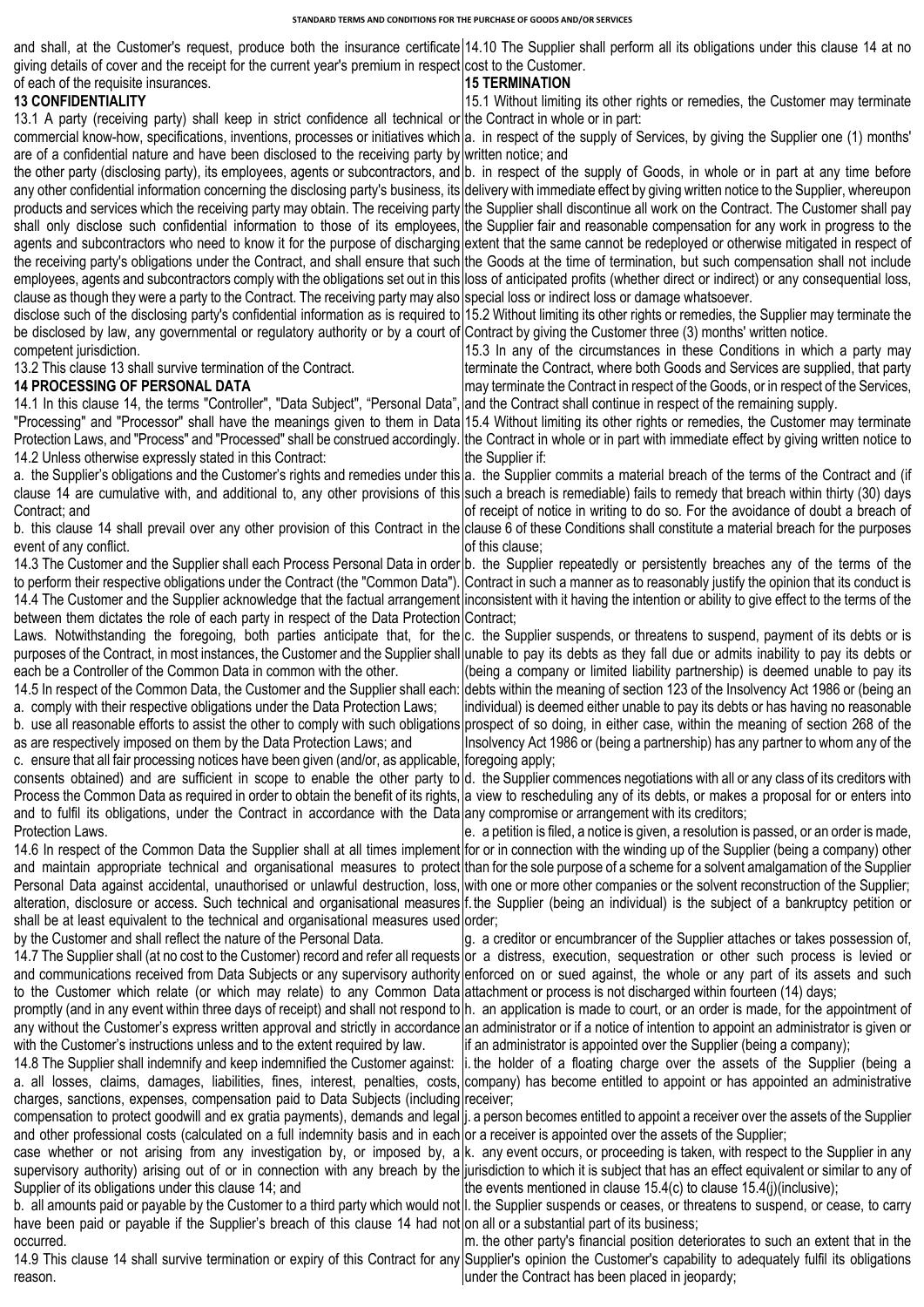and shall, at the Customer's request, produce both the insurance certificate 14.10 The Supplier shall perform all its obligations under this clause 14 at no giving details of cover and the receipt for the current year's premium in respect cost to the Customer.

of each of the requisite insurances. **13 CONFIDENTIALITY**

## **15 TERMINATION**

13.1 A party (receiving party) shall keep in strict confidence all technical or the Contract in whole or in part: 15.1 Without limiting its other rights or remedies, the Customer may terminate

commercial know-how, specifications, inventions, processes or initiatives which are of a confidential nature and have been disclosed to the receiving party by a. in respect of the supply of Services, by giving the Supplier one (1) months' written notice; and

the other party (disclosing party), its employees, agents or subcontractors, and any other confidential information concerning the disclosing party's business, its products and services which the receiving party may obtain. The receiving party shall only disclose such confidential information to those of its employees, agents and subcontractors who need to know it for the purpose of discharging the receiving party's obligations under the Contract, and shall ensure that such employees, agents and subcontractors comply with the obligations set out in this clause as though they were a party to the Contract. The receiving party may also b. in respect of the supply of Goods, in whole or in part at any time before delivery with immediate effect by giving written notice to the Supplier, whereupon the Supplier shall discontinue all work on the Contract. The Customer shall pay the Supplier fair and reasonable compensation for any work in progress to the extent that the same cannot be redeployed or otherwise mitigated in respect of the Goods at the time of termination, but such compensation shall not include loss of anticipated profits (whether direct or indirect) or any consequential loss, special loss or indirect loss or damage whatsoever.

disclose such of the disclosing party's confidential information as is required to be disclosed by law, any governmental or regulatory authority or by a court of 15.2 Without limiting its other rights or remedies, the Supplier may terminate the Contract by giving the Customer three (3) months' written notice.

competent jurisdiction. 13.2 This clause 13 shall survive termination of the Contract.

## **14 PROCESSING OF PERSONAL DATA**

14.1 In this clause 14, the terms "Controller", "Data Subject", "Personal Data", "Processing" and "Processor" shall have the meanings given to them in Data Protection Laws, and "Process" and "Processed" shall be construed accordingly. [the Contract in whole or in part with immediate effect by giving written notice to 14.2 Unless otherwise expressly stated in this Contract:

a. the Supplier's obligations and the Customer's rights and remedies under this a. the Supplier commits a material breach of the terms of the Contract and (if clause 14 are cumulative with, and additional to, any other provisions of this such a breach is remediable) fails to remedy that breach within thirty (30) days Contract; and

b. this clause 14 shall prevail over any other provision of this Contract in the clause 6 of these Conditions shall constitute a material breach for the purposes event of any conflict.

14.3 The Customer and the Supplier shall each Process Personal Data in order b. the Supplier repeatedly or persistently breaches any of the terms of the to perform their respective obligations under the Contract (the "Common Data"). 14.4 The Customer and the Supplier acknowledge that the factual arrangement between them dictates the role of each party in respect of the Data Protection

Laws. Notwithstanding the foregoing, both parties anticipate that, for the purposes of the Contract, in most instances, the Customer and the Supplier shall each be a Controller of the Common Data in common with the other.

14.5 In respect of the Common Data, the Customer and the Supplier shall each: a. comply with their respective obligations under the Data Protection Laws;

b. use all reasonable efforts to assist the other to comply with such obligations as are respectively imposed on them by the Data Protection Laws; and

c. ensure that all fair processing notices have been given (and/or, as applicable, consents obtained) and are sufficient in scope to enable the other party to d. the Supplier commences negotiations with all or any class of its creditors with Process the Common Data as required in order to obtain the benefit of its rights, a view to rescheduling any of its debts, or makes a proposal for or enters into and to fulfil its obligations, under the Contract in accordance with the Data any compromise or arrangement with its creditors; Protection Laws.

14.6 In respect of the Common Data the Supplier shall at all times implement Personal Data against accidental, unauthorised or unlawful destruction, loss, shall be at least equivalent to the technical and organisational measures used by the Customer and shall reflect the nature of the Personal Data.

14.7 The Supplier shall (at no cost to the Customer) record and refer all requests and communications received from Data Subjects or any supervisory authority to the Customer which relate (or which may relate) to any Common Data promptly (and in any event within three days of receipt) and shall not respond to any without the Customer's express written approval and strictly in accordance with the Customer's instructions unless and to the extent required by law.

14.8 The Supplier shall indemnify and keep indemnified the Customer against: a. all losses, claims, damages, liabilities, fines, interest, penalties, costs, charges, sanctions, expenses, compensation paid to Data Subjects (including

compensation to protect goodwill and ex gratia payments), demands and legal and other professional costs (calculated on a full indemnity basis and in each or a receiver is appointed over the assets of the Supplier; Supplier of its obligations under this clause 14; and

have been paid or payable if the Supplier's breach of this clause 14 had not on all or a substantial part of its business; occurred.

reason.

15.3 In any of the circumstances in these Conditions in which a party may terminate the Contract, where both Goods and Services are supplied, that party may terminate the Contract in respect of the Goods, or in respect of the Services,

and the Contract shall continue in respect of the remaining supply. 15.4 Without limiting its other rights or remedies, the Customer may terminate the Supplier if:

of receipt of notice in writing to do so. For the avoidance of doubt a breach of of this clause;

Contract in such a manner as to reasonably justify the opinion that its conduct is inconsistent with it having the intention or ability to give effect to the terms of the Contract;

c. the Supplier suspends, or threatens to suspend, payment of its debts or is unable to pay its debts as they fall due or admits inability to pay its debts or (being a company or limited liability partnership) is deemed unable to pay its debts within the meaning of section 123 of the Insolvency Act 1986 or (being an individual) is deemed either unable to pay its debts or has having no reasonable prospect of so doing, in either case, within the meaning of section 268 of the Insolvency Act 1986 or (being a partnership) has any partner to whom any of the foregoing apply;

and maintain appropriate technical and organisational measures to protect than for the sole purpose of a scheme for a solvent amalgamation of the Supplier alteration, disclosure or access. Such technical and organisational measures f. the Supplier (being an individual) is the subject of a bankruptcy petition or e. a petition is filed, a notice is given, a resolution is passed, or an order is made, for or in connection with the winding up of the Supplier (being a company) other with one or more other companies or the solvent reconstruction of the Supplier; order;

> g. a creditor or encumbrancer of the Supplier attaches or takes possession of, or a distress, execution, sequestration or other such process is levied or enforced on or sued against, the whole or any part of its assets and such attachment or process is not discharged within fourteen (14) days;

> h. an application is made to court, or an order is made, for the appointment of an administrator or if a notice of intention to appoint an administrator is given or if an administrator is appointed over the Supplier (being a company);

> i. the holder of a floating charge over the assets of the Supplier (being a company) has become entitled to appoint or has appointed an administrative receiver;

> j. a person becomes entitled to appoint a receiver over the assets of the Supplier

case whether or not arising from any investigation by, or imposed by, a k. any event occurs, or proceeding is taken, with respect to the Supplier in any supervisory authority) arising out of or in connection with any breach by the jurisdiction to which it is subject that has an effect equivalent or similar to any of the events mentioned in clause 15.4(c) to clause 15.4(j)(inclusive);

b. all amounts paid or payable by the Customer to a third party which would not |l. the Supplier suspends or ceases, or threatens to suspend, or cease, to carry

14.9 This clause 14 shall survive termination or expiry of this Contract for any Supplier's opinion the Customer's capability to adequately fulfil its obligations m. the other party's financial position deteriorates to such an extent that in the under the Contract has been placed in jeopardy;